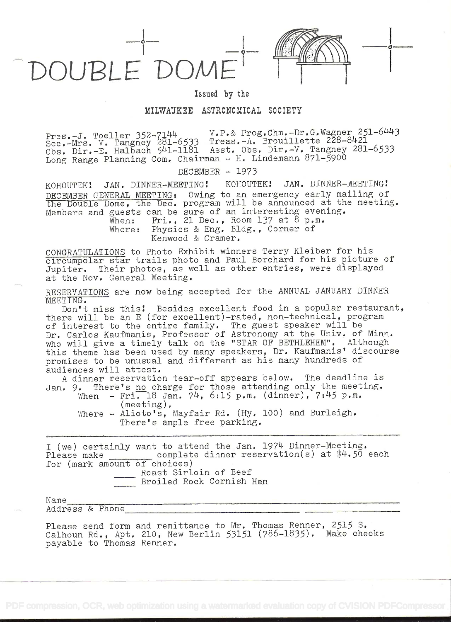



in the contract of the contract of the contract of the contract of the contract of the contract of the contract of the contract of the contract of the contract of the contract of the contract of the contract of the contrac

## Issued by the

## MILWAUKEE ASTRONOMICAL SOCIETY

Pres.-J. Toeller 352-7144<br>Pres.-J. Toeller 352-7144<br>Trevillette 228-8421 Pres.-J. Toeller 552-711-6533 Treas.-A. Brouillette 228-8421 Obs. Dir.-E. Halbach 541-1181 Asst, Obs. Dir.-V. Tangney 281-6533 Long Range Planning Com. Chairman - H. Lindemann 871-5900

DECEMBER - 1973

KOHOUTEK! JAN. DINNER-MEETING! KOHOUTEK! JAN. DINNER-MEETING! DECEMBER GENERAL MEETING: Owing to an emergency early mailing of the Double Dome, the Dec. program will be announced at the meeting. Members and guests can be sure of' an interesting evening.

When: Fri., 21 Dec., Room 137 at 8 p.m. Where: Physics & Eng. Bldg., Corner of Kenwood & Cramer.

CONGRATULATIONS to Photo Exhibit winners Terry Kleiber for his circumpolar star trails photo and Paul Borchard for his picture of' Jupiter. Their photos, as well as other entries, were displayed at the Nov. General Meeting.

RESERVATIONS are now being accepted for the ANNUAL JANUARY DINNER MEETING.

Don't miss this! Besides excellent food in a popular restaurant, there will be an E (for excellent)-rated, non-technical, program of interest to the entire family. The guest speaker will be Dr. Carlos Kaufmanis, Professor of Astronomy at the Univ. of' Minn. who will give a timely talk on the "STAR OF BETHLEHEM". Although this theme has been used by many speakers, Dr. Kaufmanis' discourse promises to be unusual and different as his many hundreds of' audiences will attest.

A dinner reservation tear-off appears below. The deadline is Jan. 9. There's no charge for those attending only the meeting.

When - Fri. 18 Jan.  $74$ ,  $6:15$  p.m. (dinner),  $7:45$  p.m. (meeting).

Where - Alioto's, Mayfair Rd. (Hy. 100) and Burleigh. There's ample free parking.

I (we) certainly want to attend the Jan. 1974 Dinner-Meeting. Please make complete dinner reservation(s) at \$4.50 each for (mark amount of choices) Roast Sirloin of Beef Broiled Rock Cornish Hen

Nam <sup>e</sup>Address& Phone\_\_\_\_\_\_\_\_\_\_\_\_\_\_\_\_\_\_\_\_\_\_\_\_\_\_\_\_\_\_\_\_\_ \_\_\_\_\_\_\_\_\_\_\_\_\_\_\_\_\_\_

Please send form and remittance to Mr. Thomas Renner, 2515 S. Calhoun Rd., Apt. 210, New Berlin 53151 (786-1835). Make checks payable to Thomas Renner.